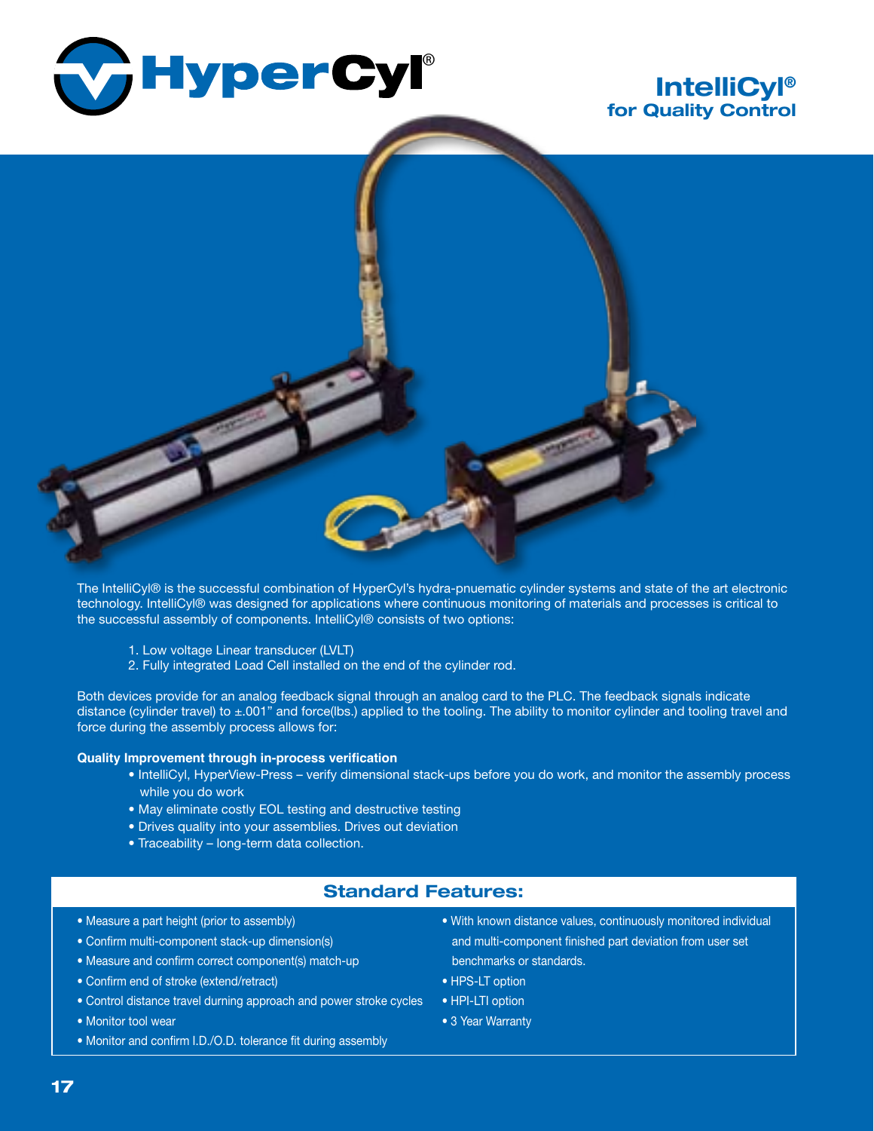

# **IntelliCyl® for Quality Control**



The IntelliCyl® is the successful combination of HyperCyl's hydra-pnuematic cylinder systems and state of the art electronic technology. IntelliCyl® was designed for applications where continuous monitoring of materials and processes is critical to the successful assembly of components. IntelliCyl® consists of two options:

- 1. Low voltage Linear transducer (LVLT)
- 2. Fully integrated Load Cell installed on the end of the cylinder rod.

Both devices provide for an analog feedback signal through an analog card to the PLC. The feedback signals indicate distance (cylinder travel) to ±.001" and force(lbs.) applied to the tooling. The ability to monitor cylinder and tooling travel and force during the assembly process allows for:

#### **Quality Improvement through in-process verification**

- • IntelliCyl, HyperView-Press verify dimensional stack-ups before you do work, and monitor the assembly process while you do work
- • May eliminate costly EOL testing and destructive testing
- • Drives quality into your assemblies. Drives out deviation
- Traceability long-term data collection.

### **Standard Features:**

- Measure a part height (prior to assembly)
- • Confirm multi-component stack-up dimension(s)
- • Measure and confirm correct component(s) match-up
- • Confirm end of stroke (extend/retract)
- Control distance travel durning approach and power stroke cycles
- • Monitor tool wear
- Monitor and confirm I.D./O.D. tolerance fit during assembly
- • With known distance values, continuously monitored individual and multi-component finished part deviation from user set benchmarks or standards.
- HPS-LT option
- HPI-LTI option
- 3 Year Warranty